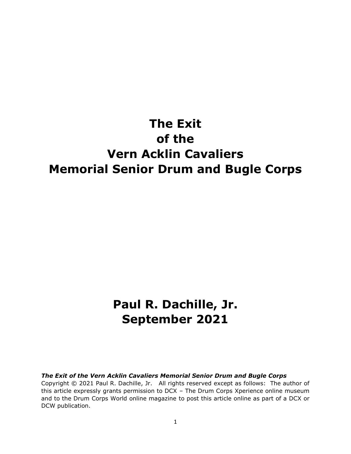## **The Exit of the Vern Acklin Cavaliers Memorial Senior Drum and Bugle Corps**

## **Paul R. Dachille, Jr. September 2021**

## *The Exit of the Vern Acklin Cavaliers Memorial Senior Drum and Bugle Corps*

Copyright © 2021 Paul R. Dachille, Jr. All rights reserved except as follows: The author of this article expressly grants permission to DCX – The Drum Corps Xperience online museum and to the Drum Corps World online magazine to post this article online as part of a DCX or DCW publication.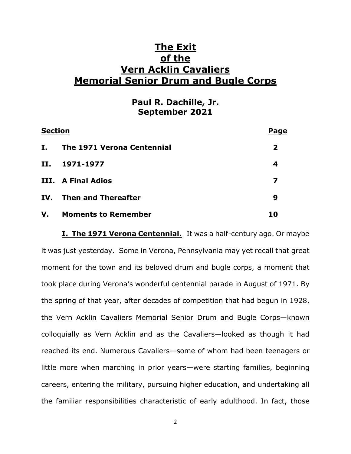## **The Exit of the Vern Acklin Cavaliers Memorial Senior Drum and Bugle Corps**

**Paul R. Dachille, Jr. September 2021**

| <b>Section</b> |                            | Page         |
|----------------|----------------------------|--------------|
| I.,            | The 1971 Verona Centennial | $\mathbf{2}$ |
| II.            | 1971-1977                  | 4            |
|                | III. A Final Adios         |              |
|                | IV. Then and Thereafter    | 9            |
|                | V. Moments to Remember     | 10           |

**I. The 1971 Verona Centennial.** It was a half-century ago. Or maybe it was just yesterday. Some in Verona, Pennsylvania may yet recall that great moment for the town and its beloved drum and bugle corps, a moment that took place during Verona's wonderful centennial parade in August of 1971. By the spring of that year, after decades of competition that had begun in 1928, the Vern Acklin Cavaliers Memorial Senior Drum and Bugle Corps—known colloquially as Vern Acklin and as the Cavaliers—looked as though it had reached its end. Numerous Cavaliers—some of whom had been teenagers or little more when marching in prior years—were starting families, beginning careers, entering the military, pursuing higher education, and undertaking all the familiar responsibilities characteristic of early adulthood. In fact, those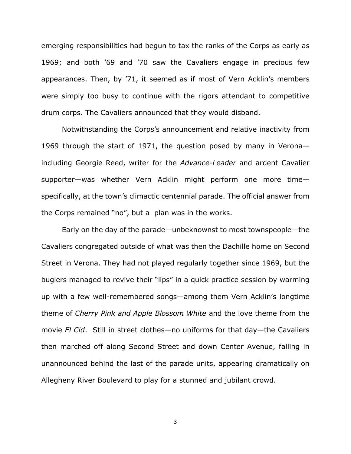emerging responsibilities had begun to tax the ranks of the Corps as early as 1969; and both '69 and '70 saw the Cavaliers engage in precious few appearances. Then, by '71, it seemed as if most of Vern Acklin's members were simply too busy to continue with the rigors attendant to competitive drum corps. The Cavaliers announced that they would disband.

Notwithstanding the Corps's announcement and relative inactivity from 1969 through the start of 1971, the question posed by many in Verona including Georgie Reed, writer for the *Advance-Leader* and ardent Cavalier supporter—was whether Vern Acklin might perform one more time specifically, at the town's climactic centennial parade. The official answer from the Corps remained "no", but a plan was in the works.

Early on the day of the parade—unbeknownst to most townspeople—the Cavaliers congregated outside of what was then the Dachille home on Second Street in Verona. They had not played regularly together since 1969, but the buglers managed to revive their "lips" in a quick practice session by warming up with a few well-remembered songs—among them Vern Acklin's longtime theme of *Cherry Pink and Apple Blossom White* and the love theme from the movie *El Cid*. Still in street clothes—no uniforms for that day—the Cavaliers then marched off along Second Street and down Center Avenue, falling in unannounced behind the last of the parade units, appearing dramatically on Allegheny River Boulevard to play for a stunned and jubilant crowd.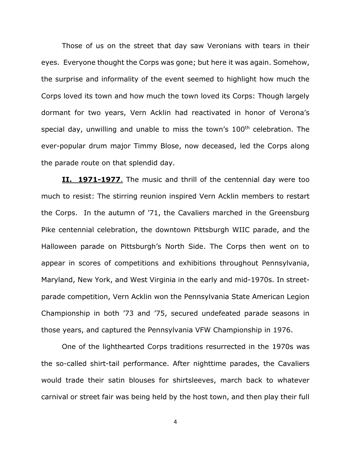Those of us on the street that day saw Veronians with tears in their eyes. Everyone thought the Corps was gone; but here it was again. Somehow, the surprise and informality of the event seemed to highlight how much the Corps loved its town and how much the town loved its Corps: Though largely dormant for two years, Vern Acklin had reactivated in honor of Verona's special day, unwilling and unable to miss the town's 100<sup>th</sup> celebration. The ever-popular drum major Timmy Blose, now deceased, led the Corps along the parade route on that splendid day.

**II. 1971-1977**. The music and thrill of the centennial day were too much to resist: The stirring reunion inspired Vern Acklin members to restart the Corps. In the autumn of '71, the Cavaliers marched in the Greensburg Pike centennial celebration, the downtown Pittsburgh WIIC parade, and the Halloween parade on Pittsburgh's North Side. The Corps then went on to appear in scores of competitions and exhibitions throughout Pennsylvania, Maryland, New York, and West Virginia in the early and mid-1970s. In streetparade competition, Vern Acklin won the Pennsylvania State American Legion Championship in both '73 and '75, secured undefeated parade seasons in those years, and captured the Pennsylvania VFW Championship in 1976.

One of the lighthearted Corps traditions resurrected in the 1970s was the so-called shirt-tail performance. After nighttime parades, the Cavaliers would trade their satin blouses for shirtsleeves, march back to whatever carnival or street fair was being held by the host town, and then play their full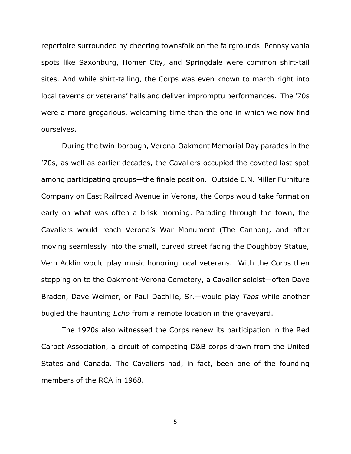repertoire surrounded by cheering townsfolk on the fairgrounds. Pennsylvania spots like Saxonburg, Homer City, and Springdale were common shirt-tail sites. And while shirt-tailing, the Corps was even known to march right into local taverns or veterans' halls and deliver impromptu performances. The '70s were a more gregarious, welcoming time than the one in which we now find ourselves.

During the twin-borough, Verona-Oakmont Memorial Day parades in the '70s, as well as earlier decades, the Cavaliers occupied the coveted last spot among participating groups—the finale position. Outside E.N. Miller Furniture Company on East Railroad Avenue in Verona, the Corps would take formation early on what was often a brisk morning. Parading through the town, the Cavaliers would reach Verona's War Monument (The Cannon), and after moving seamlessly into the small, curved street facing the Doughboy Statue, Vern Acklin would play music honoring local veterans. With the Corps then stepping on to the Oakmont-Verona Cemetery, a Cavalier soloist—often Dave Braden, Dave Weimer, or Paul Dachille, Sr.—would play *Taps* while another bugled the haunting *Echo* from a remote location in the graveyard.

The 1970s also witnessed the Corps renew its participation in the Red Carpet Association, a circuit of competing D&B corps drawn from the United States and Canada. The Cavaliers had, in fact, been one of the founding members of the RCA in 1968.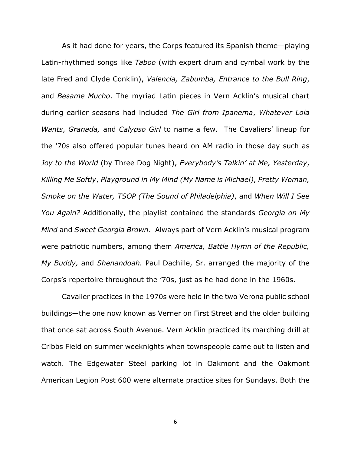As it had done for years, the Corps featured its Spanish theme—playing Latin-rhythmed songs like *Taboo* (with expert drum and cymbal work by the late Fred and Clyde Conklin), *Valencia, Zabumba, Entrance to the Bull Ring*, and *Besame Mucho*. The myriad Latin pieces in Vern Acklin's musical chart during earlier seasons had included *The Girl from Ipanema*, *Whatever Lola Wants*, *Granada,* and *Calypso Girl* to name a few. The Cavaliers' lineup for the '70s also offered popular tunes heard on AM radio in those day such as *Joy to the World* (by Three Dog Night), *Everybody's Talkin' at Me, Yesterday*, *Killing Me Softly*, *Playground in My Mind (My Name is Michael)*, *Pretty Woman, Smoke on the Water, TSOP (The Sound of Philadelphia)*, and *When Will I See You Again?* Additionally, the playlist contained the standards *Georgia on My Mind* and *Sweet Georgia Brown*. Always part of Vern Acklin's musical program were patriotic numbers, among them *America, Battle Hymn of the Republic, My Buddy,* and *Shenandoah.* Paul Dachille, Sr. arranged the majority of the Corps's repertoire throughout the '70s, just as he had done in the 1960s.

Cavalier practices in the 1970s were held in the two Verona public school buildings—the one now known as Verner on First Street and the older building that once sat across South Avenue. Vern Acklin practiced its marching drill at Cribbs Field on summer weeknights when townspeople came out to listen and watch. The Edgewater Steel parking lot in Oakmont and the Oakmont American Legion Post 600 were alternate practice sites for Sundays. Both the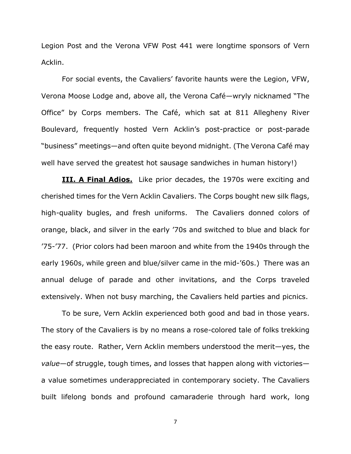Legion Post and the Verona VFW Post 441 were longtime sponsors of Vern Acklin.

For social events, the Cavaliers' favorite haunts were the Legion, VFW, Verona Moose Lodge and, above all, the Verona Café—wryly nicknamed "The Office" by Corps members. The Café, which sat at 811 Allegheny River Boulevard, frequently hosted Vern Acklin's post-practice or post-parade "business" meetings—and often quite beyond midnight. (The Verona Café may well have served the greatest hot sausage sandwiches in human history!)

**III. A Final Adios.** Like prior decades, the 1970s were exciting and cherished times for the Vern Acklin Cavaliers. The Corps bought new silk flags, high-quality bugles, and fresh uniforms. The Cavaliers donned colors of orange, black, and silver in the early '70s and switched to blue and black for '75-'77. (Prior colors had been maroon and white from the 1940s through the early 1960s, while green and blue/silver came in the mid-'60s.) There was an annual deluge of parade and other invitations, and the Corps traveled extensively. When not busy marching, the Cavaliers held parties and picnics.

To be sure, Vern Acklin experienced both good and bad in those years. The story of the Cavaliers is by no means a rose-colored tale of folks trekking the easy route. Rather, Vern Acklin members understood the merit—yes, the *value*—of struggle, tough times, and losses that happen along with victories a value sometimes underappreciated in contemporary society. The Cavaliers built lifelong bonds and profound camaraderie through hard work, long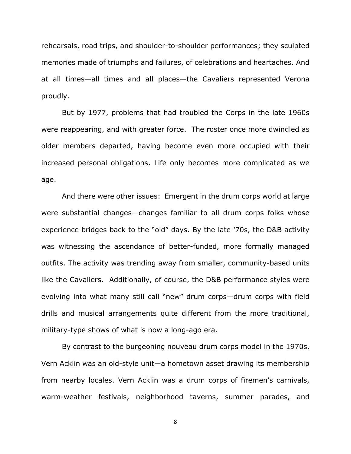rehearsals, road trips, and shoulder-to-shoulder performances; they sculpted memories made of triumphs and failures, of celebrations and heartaches. And at all times—all times and all places—the Cavaliers represented Verona proudly.

But by 1977, problems that had troubled the Corps in the late 1960s were reappearing, and with greater force. The roster once more dwindled as older members departed, having become even more occupied with their increased personal obligations. Life only becomes more complicated as we age.

And there were other issues: Emergent in the drum corps world at large were substantial changes—changes familiar to all drum corps folks whose experience bridges back to the "old" days. By the late '70s, the D&B activity was witnessing the ascendance of better-funded, more formally managed outfits. The activity was trending away from smaller, community-based units like the Cavaliers. Additionally, of course, the D&B performance styles were evolving into what many still call "new" drum corps—drum corps with field drills and musical arrangements quite different from the more traditional, military-type shows of what is now a long-ago era.

By contrast to the burgeoning nouveau drum corps model in the 1970s, Vern Acklin was an old-style unit—a hometown asset drawing its membership from nearby locales. Vern Acklin was a drum corps of firemen's carnivals, warm-weather festivals, neighborhood taverns, summer parades, and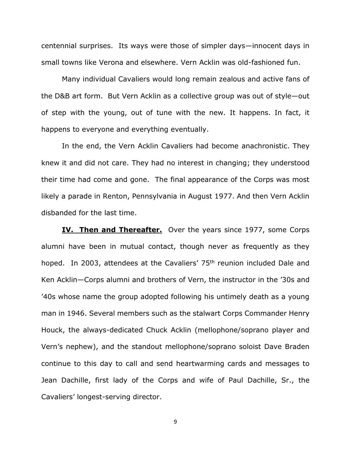centennial surprises. Its ways were those of simpler days—innocent days in small towns like Verona and elsewhere. Vern Acklin was old-fashioned fun.

Many individual Cavaliers would long remain zealous and active fans of the D&B art form. But Vern Acklin as a collective group was out of style—out of step with the young, out of tune with the new. It happens. In fact, it happens to everyone and everything eventually.

 In the end, the Vern Acklin Cavaliers had become anachronistic. They knew it and did not care. They had no interest in changing; they understood their time had come and gone. The final appearance of the Corps was most likely a parade in Renton, Pennsylvania in August 1977. And then Vern Acklin disbanded for the last time.

**IV. Then and Thereafter.** Over the years since 1977, some Corps alumni have been in mutual contact, though never as frequently as they hoped. In 2003, attendees at the Cavaliers' 75<sup>th</sup> reunion included Dale and Ken Acklin—Corps alumni and brothers of Vern, the instructor in the '30s and '40s whose name the group adopted following his untimely death as a young man in 1946. Several members such as the stalwart Corps Commander Henry Houck, the always-dedicated Chuck Acklin (mellophone/soprano player and Vern's nephew), and the standout mellophone/soprano soloist Dave Braden continue to this day to call and send heartwarming cards and messages to Jean Dachille, first lady of the Corps and wife of Paul Dachille, Sr., the Cavaliers' longest-serving director.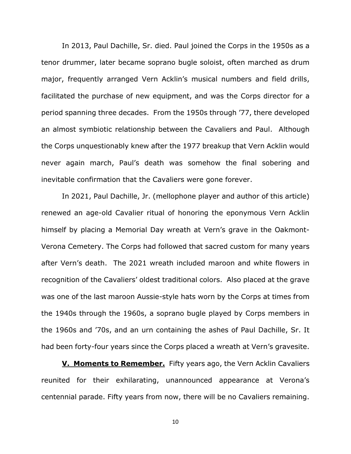In 2013, Paul Dachille, Sr. died. Paul joined the Corps in the 1950s as a tenor drummer, later became soprano bugle soloist, often marched as drum major, frequently arranged Vern Acklin's musical numbers and field drills, facilitated the purchase of new equipment, and was the Corps director for a period spanning three decades. From the 1950s through '77, there developed an almost symbiotic relationship between the Cavaliers and Paul. Although the Corps unquestionably knew after the 1977 breakup that Vern Acklin would never again march, Paul's death was somehow the final sobering and inevitable confirmation that the Cavaliers were gone forever.

In 2021, Paul Dachille, Jr. (mellophone player and author of this article) renewed an age-old Cavalier ritual of honoring the eponymous Vern Acklin himself by placing a Memorial Day wreath at Vern's grave in the Oakmont-Verona Cemetery. The Corps had followed that sacred custom for many years after Vern's death. The 2021 wreath included maroon and white flowers in recognition of the Cavaliers' oldest traditional colors. Also placed at the grave was one of the last maroon Aussie-style hats worn by the Corps at times from the 1940s through the 1960s, a soprano bugle played by Corps members in the 1960s and '70s, and an urn containing the ashes of Paul Dachille, Sr. It had been forty-four years since the Corps placed a wreath at Vern's gravesite.

**V. Moments to Remember.** Fifty years ago, the Vern Acklin Cavaliers reunited for their exhilarating, unannounced appearance at Verona's centennial parade. Fifty years from now, there will be no Cavaliers remaining.